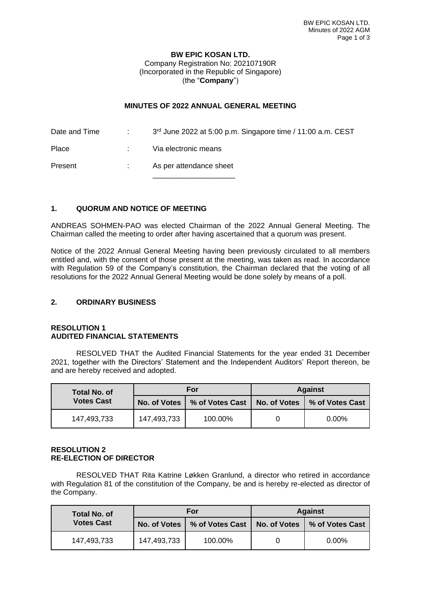## **BW EPIC KOSAN LTD.** Company Registration No: 202107190R (Incorporated in the Republic of Singapore) (the "**Company**")

## **MINUTES OF 2022 ANNUAL GENERAL MEETING**

Date and Time : 3<sup>rd</sup> June 2022 at 5:00 p.m. Singapore time / 11:00 a.m. CEST Place : Via electronic means Present : As per attendance sheet

\_\_\_\_\_\_\_\_\_\_\_\_\_\_\_\_\_\_\_\_

# **1. QUORUM AND NOTICE OF MEETING**

ANDREAS SOHMEN-PAO was elected Chairman of the 2022 Annual General Meeting. The Chairman called the meeting to order after having ascertained that a quorum was present.

Notice of the 2022 Annual General Meeting having been previously circulated to all members entitled and, with the consent of those present at the meeting, was taken as read. In accordance with Regulation 59 of the Company's constitution, the Chairman declared that the voting of all resolutions for the 2022 Annual General Meeting would be done solely by means of a poll.

## **2. ORDINARY BUSINESS**

#### **RESOLUTION 1 AUDITED FINANCIAL STATEMENTS**

RESOLVED THAT the Audited Financial Statements for the year ended 31 December 2021, together with the Directors' Statement and the Independent Auditors' Report thereon, be and are hereby received and adopted.

| Total No. of<br><b>Votes Cast</b> | For         |                                                                 | <b>Against</b> |          |
|-----------------------------------|-------------|-----------------------------------------------------------------|----------------|----------|
|                                   |             | No. of Votes   % of Votes Cast   No. of Votes   % of Votes Cast |                |          |
| 147,493,733                       | 147,493,733 | 100.00%                                                         |                | $0.00\%$ |

#### **RESOLUTION 2 RE-ELECTION OF DIRECTOR**

RESOLVED THAT Rita Katrine Løkken Granlund, a director who retired in accordance with Regulation 81 of the constitution of the Company, be and is hereby re-elected as director of the Company.

| <b>Total No. of</b><br><b>Votes Cast</b> | For         |                                                                 | <b>Against</b> |          |
|------------------------------------------|-------------|-----------------------------------------------------------------|----------------|----------|
|                                          |             | No. of Votes   % of Votes Cast   No. of Votes   % of Votes Cast |                |          |
| 147,493,733                              | 147,493,733 | 100.00%                                                         |                | $0.00\%$ |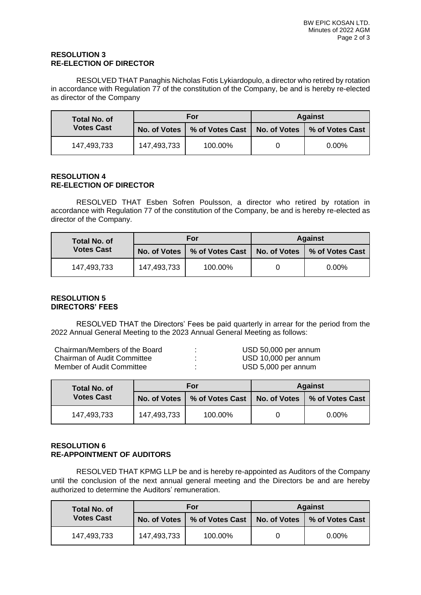## **RESOLUTION 3 RE-ELECTION OF DIRECTOR**

RESOLVED THAT Panaghis Nicholas Fotis Lykiardopulo, a director who retired by rotation in accordance with Regulation 77 of the constitution of the Company, be and is hereby re-elected as director of the Company

| Total No. of<br><b>Votes Cast</b> | For         |                                                                 | <b>Against</b> |          |
|-----------------------------------|-------------|-----------------------------------------------------------------|----------------|----------|
|                                   |             | No. of Votes   % of Votes Cast   No. of Votes   % of Votes Cast |                |          |
| 147,493,733                       | 147,493,733 | 100.00%                                                         |                | $0.00\%$ |

#### **RESOLUTION 4 RE-ELECTION OF DIRECTOR**

RESOLVED THAT Esben Sofren Poulsson, a director who retired by rotation in accordance with Regulation 77 of the constitution of the Company, be and is hereby re-elected as director of the Company.

| Total No. of<br><b>Votes Cast</b> | For         |                                | <b>Against</b> |                                |
|-----------------------------------|-------------|--------------------------------|----------------|--------------------------------|
|                                   |             | No. of Votes   % of Votes Cast |                | No. of Votes   % of Votes Cast |
| 147,493,733                       | 147,493,733 | 100.00%                        |                | $0.00\%$                       |

## **RESOLUTION 5 DIRECTORS' FEES**

RESOLVED THAT the Directors' Fees be paid quarterly in arrear for the period from the 2022 Annual General Meeting to the 2023 Annual General Meeting as follows:

| Chairman/Members of the Board      | ٠                        | USD 50,000 per annum |
|------------------------------------|--------------------------|----------------------|
| <b>Chairman of Audit Committee</b> | ٠                        | USD 10,000 per annum |
| Member of Audit Committee          | $\overline{\phantom{a}}$ | USD 5,000 per annum  |

| Total No. of<br><b>Votes Cast</b> | For          |                   | <b>Against</b> |                                |
|-----------------------------------|--------------|-------------------|----------------|--------------------------------|
|                                   | No. of Votes | │ % of Votes Cast |                | No. of Votes   % of Votes Cast |
| 147,493,733                       | 147,493,733  | 100.00%           |                | $0.00\%$                       |

## **RESOLUTION 6 RE-APPOINTMENT OF AUDITORS**

RESOLVED THAT KPMG LLP be and is hereby re-appointed as Auditors of the Company until the conclusion of the next annual general meeting and the Directors be and are hereby authorized to determine the Auditors' remuneration.

| <b>Total No. of</b><br><b>Votes Cast</b> | <b>For</b>   |                 | <b>Against</b> |                 |
|------------------------------------------|--------------|-----------------|----------------|-----------------|
|                                          | No. of Votes | % of Votes Cast | No. of Votes   | % of Votes Cast |
| 147,493,733                              | 147,493,733  | 100.00%         |                | $0.00\%$        |